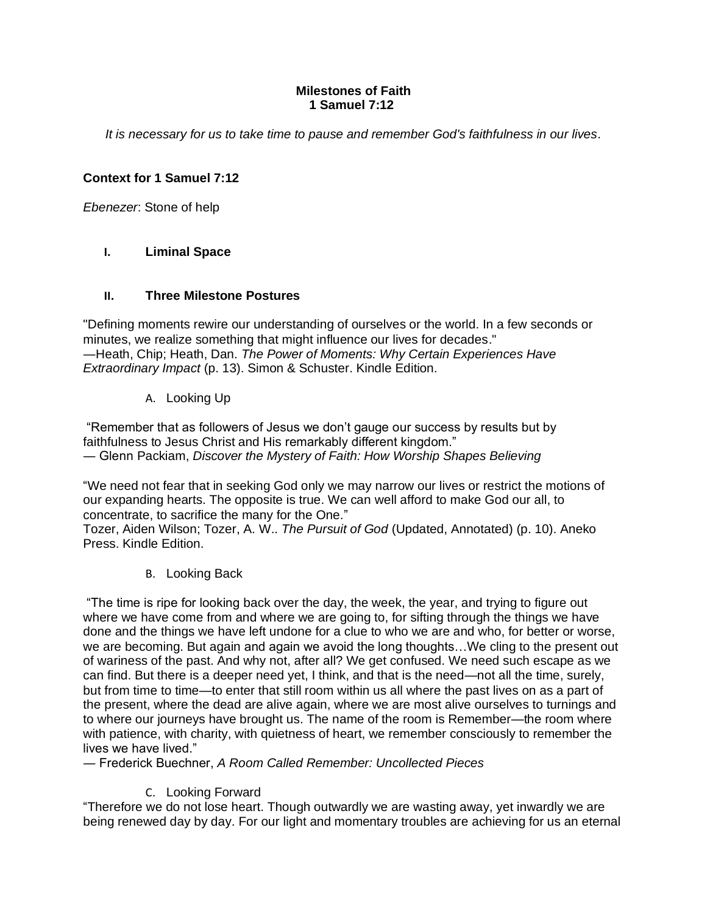### **Milestones of Faith 1 Samuel 7:12**

*It is necessary for us to take time to pause and remember God's faithfulness in our lives.*

# **Context for 1 Samuel 7:12**

*Ebenezer*: Stone of help

## **I. Liminal Space**

### **II. Three Milestone Postures**

"Defining moments rewire our understanding of ourselves or the world. In a few seconds or minutes, we realize something that might influence our lives for decades." ―Heath, Chip; Heath, Dan. *The Power of Moments: Why Certain Experiences Have Extraordinary Impact* (p. 13). Simon & Schuster. Kindle Edition.

A. Looking Up

"Remember that as followers of Jesus we don't gauge our success by results but by faithfulness to Jesus Christ and His remarkably different kingdom." ― Glenn Packiam, *Discover the Mystery of Faith: How Worship Shapes Believing*

"We need not fear that in seeking God only we may narrow our lives or restrict the motions of our expanding hearts. The opposite is true. We can well afford to make God our all, to concentrate, to sacrifice the many for the One."

Tozer, Aiden Wilson; Tozer, A. W.. *The Pursuit of God* (Updated, Annotated) (p. 10). Aneko Press. Kindle Edition.

B. Looking Back

"The time is ripe for looking back over the day, the week, the year, and trying to figure out where we have come from and where we are going to, for sifting through the things we have done and the things we have left undone for a clue to who we are and who, for better or worse, we are becoming. But again and again we avoid the long thoughts…We cling to the present out of wariness of the past. And why not, after all? We get confused. We need such escape as we can find. But there is a deeper need yet, I think, and that is the need—not all the time, surely, but from time to time—to enter that still room within us all where the past lives on as a part of the present, where the dead are alive again, where we are most alive ourselves to turnings and to where our journeys have brought us. The name of the room is Remember—the room where with patience, with charity, with quietness of heart, we remember consciously to remember the lives we have lived."

― Frederick Buechner, *A Room Called Remember: Uncollected Pieces*

### C. Looking Forward

"Therefore we do not lose heart. Though outwardly we are wasting away, yet inwardly we are being renewed day by day. For our light and momentary troubles are achieving for us an eternal